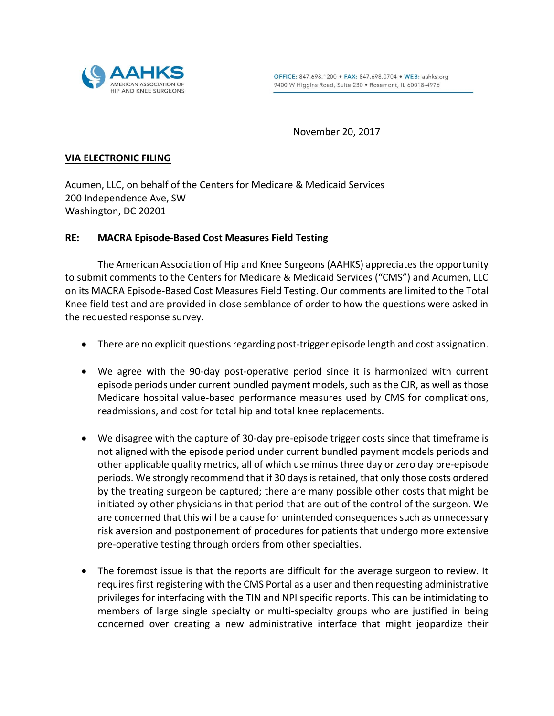

November 20, 2017

## **VIA ELECTRONIC FILING**

Acumen, LLC, on behalf of the Centers for Medicare & Medicaid Services 200 Independence Ave, SW Washington, DC 20201

## **RE: MACRA Episode-Based Cost Measures Field Testing**

The American Association of Hip and Knee Surgeons (AAHKS) appreciates the opportunity to submit comments to the Centers for Medicare & Medicaid Services ("CMS") and Acumen, LLC on its MACRA Episode-Based Cost Measures Field Testing. Our comments are limited to the Total Knee field test and are provided in close semblance of order to how the questions were asked in the requested response survey.

- There are no explicit questions regarding post-trigger episode length and cost assignation.
- We agree with the 90-day post-operative period since it is harmonized with current episode periods under current bundled payment models, such as the CJR, as well as those Medicare hospital value-based performance measures used by CMS for complications, readmissions, and cost for total hip and total knee replacements.
- We disagree with the capture of 30-day pre-episode trigger costs since that timeframe is not aligned with the episode period under current bundled payment models periods and other applicable quality metrics, all of which use minus three day or zero day pre-episode periods. We strongly recommend that if 30 days is retained, that only those costs ordered by the treating surgeon be captured; there are many possible other costs that might be initiated by other physicians in that period that are out of the control of the surgeon. We are concerned that this will be a cause for unintended consequences such as unnecessary risk aversion and postponement of procedures for patients that undergo more extensive pre-operative testing through orders from other specialties.
- The foremost issue is that the reports are difficult for the average surgeon to review. It requires first registering with the CMS Portal as a user and then requesting administrative privileges for interfacing with the TIN and NPI specific reports. This can be intimidating to members of large single specialty or multi-specialty groups who are justified in being concerned over creating a new administrative interface that might jeopardize their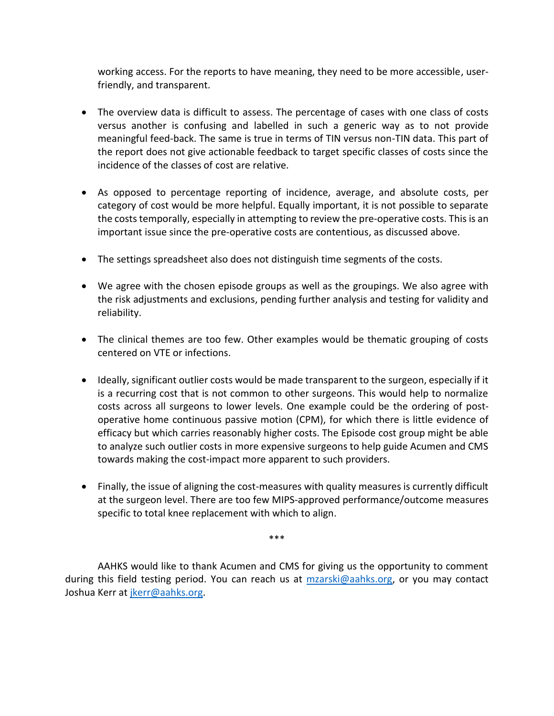working access. For the reports to have meaning, they need to be more accessible, userfriendly, and transparent.

- The overview data is difficult to assess. The percentage of cases with one class of costs versus another is confusing and labelled in such a generic way as to not provide meaningful feed-back. The same is true in terms of TIN versus non-TIN data. This part of the report does not give actionable feedback to target specific classes of costs since the incidence of the classes of cost are relative.
- As opposed to percentage reporting of incidence, average, and absolute costs, per category of cost would be more helpful. Equally important, it is not possible to separate the costs temporally, especially in attempting to review the pre-operative costs. This is an important issue since the pre-operative costs are contentious, as discussed above.
- The settings spreadsheet also does not distinguish time segments of the costs.
- We agree with the chosen episode groups as well as the groupings. We also agree with the risk adjustments and exclusions, pending further analysis and testing for validity and reliability.
- The clinical themes are too few. Other examples would be thematic grouping of costs centered on VTE or infections.
- Ideally, significant outlier costs would be made transparent to the surgeon, especially if it is a recurring cost that is not common to other surgeons. This would help to normalize costs across all surgeons to lower levels. One example could be the ordering of postoperative home continuous passive motion (CPM), for which there is little evidence of efficacy but which carries reasonably higher costs. The Episode cost group might be able to analyze such outlier costs in more expensive surgeons to help guide Acumen and CMS towards making the cost-impact more apparent to such providers.
- Finally, the issue of aligning the cost-measures with quality measures is currently difficult at the surgeon level. There are too few MIPS-approved performance/outcome measures specific to total knee replacement with which to align.

AAHKS would like to thank Acumen and CMS for giving us the opportunity to comment during this field testing period. You can reach us at [mzarski@aahks.org,](mailto:mzarski@aahks.org) or you may contact Joshua Kerr a[t jkerr@aahks.org.](mailto:jkerr@aahks.org)

\*\*\*